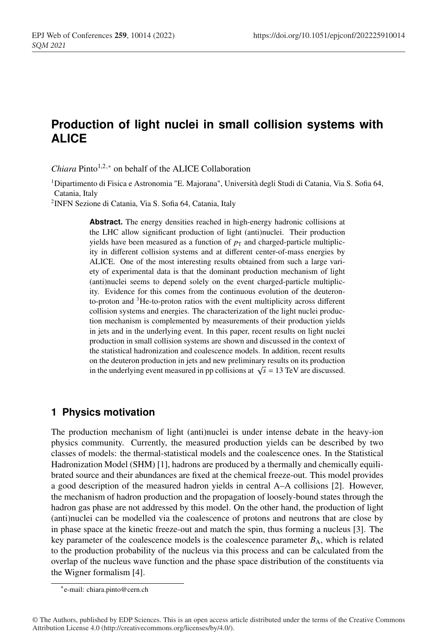# <sup>1</sup> **Production of light nuclei in small collision systems with** <sup>2</sup> **ALICE**

*Chiara* Pinto<sup>1,2,∗</sup> on behalf of the ALICE Collaboration

<sup>1</sup> <sup>4</sup> Dipartimento di Fisica e Astronomia "E. Majorana", Università degli Studi di Catania, Via S. Sofia 64, Catania, Italy

<sup>2</sup> INFN Sezione di Catania, Via S. Sofia 64, Catania, Italy

Abstract. The energy densities reached in high-energy hadronic collisions at the LHC allow significant production of light (anti)nuclei. Their production yields have been measured as a function of  $p<sub>T</sub>$  and charged-particle multiplicity in different collision systems and at different center-of-mass energies by ALICE. One of the most interesting results obtained from such a large variety of experimental data is that the dominant production mechanism of light (anti)nuclei seems to depend solely on the event charged-particle multiplicity. Evidence for this comes from the continuous evolution of the deuteronto-proton and  ${}^{3}$ He-to-proton ratios with the event multiplicity across different collision systems and energies. The characterization of the light nuclei production mechanism is complemented by measurements of their production yields in jets and in the underlying event. In this paper, recent results on light nuclei production in small collision systems are shown and discussed in the context of <sup>20</sup> the statistical hadronization and coalescence models. In addition, recent results <sup>21</sup> on the deuteron production in jets and new preliminary results on its production in the underlying event measured in pp collisions at  $\sqrt{s} = 13$  TeV are discussed.

### <sup>23</sup> **1 Physics motivation**

The production mechanism of light (anti)nuclei is under intense debate in the heavy-ion <sup>25</sup> physics community. Currently, the measured production yields can be described by two <sup>26</sup> classes of models: the thermal-statistical models and the coalescence ones. In the Statistical Hadronization Model (SHM) [1], hadrons are produced by a thermally and chemically equili-<sup>28</sup> brated source and their abundances are fixed at the chemical freeze-out. This model provides <sup>29</sup> a good description of the measured hadron yields in central A–A collisions [2]. However, <sup>30</sup> the mechanism of hadron production and the propagation of loosely-bound states through the hadron gas phase are not addressed by this model. On the other hand, the production of light <sup>32</sup> (anti)nuclei can be modelled via the coalescence of protons and neutrons that are close by in phase space at the kinetic freeze-out and match the spin, thus forming a nucleus [3]. The key parameter of the coalescence models is the coalescence parameter  $B_A$ , which is related <sup>35</sup> to the production probability of the nucleus via this process and can be calculated from the overlap of the nucleus wave function and the phase space distribution of the constituents via the Wigner formalism [4].

<sup>∗</sup>e-mail: chiara.pinto@cern.ch

<sup>©</sup> The Authors, published by EDP Sciences. This is an open access article distributed under the terms of the Creative Commons Attribution License 4.0 (http://creativecommons.org/licenses/by/4.0/).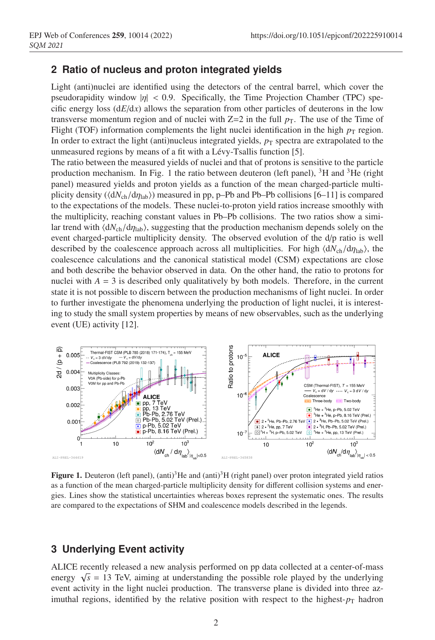## <sup>38</sup> **2 Ratio of nucleus and proton integrated yields**

Light (anti)nuclei are identified using the detectors of the central barrel, which cover the pseudorapidity window  $|\eta| < 0.9$ . Specifically, the Time Projection Chamber (TPC) specific energy loss  $(dE/dx)$  allows the separation from other particles of deuterons in the low transverse momentum region and of nuclei with  $Z=2$  in the full  $p<sub>T</sub>$ . The use of the Time of Flight (TOF) information complements the light nuclei identification in the high  $p<sub>T</sub>$  region. In order to extract the light (anti)nucleus integrated yields,  $p<sub>T</sub>$  spectra are extrapolated to the unmeasured regions by means of a fit with a Lévy-Tsallis function [5].

The ratio between the measured yields of nuclei and that of protons is sensitive to the particle production mechanism. In Fig. 1 the ratio between deuteron (left panel),  ${}^{3}$ H and  ${}^{3}$ He (right <sup>48</sup> panel) measured yields and proton yields as a function of the mean charged-particle multiplicity density ( $\langle dN_{ch}/d\eta_{lab}\rangle$ ) measured in pp, p–Pb and Pb–Pb collisions [6–11] is compared <sup>50</sup> to the expectations of the models. These nuclei-to-proton yield ratios increase smoothly with <sup>51</sup> the multiplicity, reaching constant values in Pb–Pb collisions. The two ratios show a similar trend with  $\langle dN_{ch}/d\eta_{lab}\rangle$ , suggesting that the production mechanism depends solely on the event charged-particle multiplicity density. The observed evolution of the d/p ratio is well described by the coalescence approach across all multiplicities. For high  $\langle dN_{ch}/dη_{lab}\rangle$ , the <sup>55</sup> coalescence calculations and the canonical statistical model (CSM) expectations are close <sup>56</sup> and both describe the behavior observed in data. On the other hand, the ratio to protons for nuclei with  $A = 3$  is described only qualitatively by both models. Therefore, in the current state it is not possible to discern between the production mechanisms of light nuclei. In order <sup>59</sup> to further investigate the phenomena underlying the production of light nuclei, it is interesting to study the small system properties by means of new observables, such as the underlying event (UE) activity [12].



**Figure 1.** Deuteron (left panel), (anti)<sup>3</sup>He and (anti)<sup>3</sup>H (right panel) over proton integrated yield ratios as a function of the mean charged-particle multiplicity density for different collision systems and energies. Lines show the statistical uncertainties whereas boxes represent the systematic ones. The results are compared to the expectations of SHM and coalescence models described in the legends.

# <sup>62</sup> **3 Underlying Event activity**

<sup>63</sup> ALICE recently released a new analysis performed on pp data collected at a center-of-mass energy  $\sqrt{s}$  = 13 TeV, aiming at understanding the possible role played by the underlying event activity in the light nuclei production. The transverse plane is divided into three azimuthal regions, identified by the relative position with respect to the highest- $p<sub>T</sub>$  hadron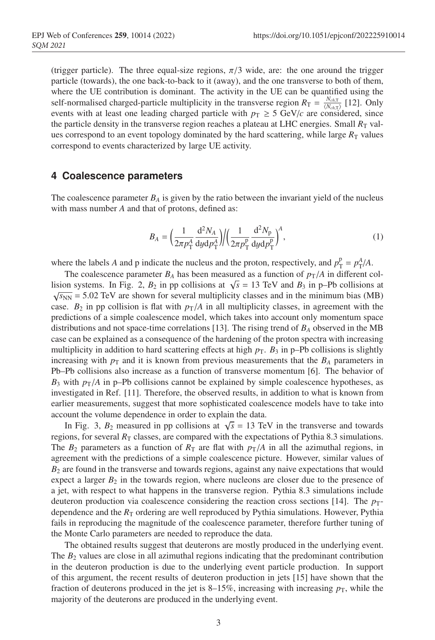(trigger particle). The three equal-size regions,  $\pi/3$  wide, are: the one around the trigger particle (towards), the one back-to-back to it (away), and the one transverse to both of them, where the UE contribution is dominant. The activity in the UE can be quantified using the self-normalised charged-particle multiplicity in the transverse region  $R_{\text{T}} = \frac{N_{ch,\text{T}}}{\langle N_{ch,\text{T}} \rangle}$  [12]. Only events with at least one leading charged particle with  $p_T \ge 5$  GeV/*c* are considered, since the particle density in the transverse region reaches a plateau at LHC energies. Small  $R_T$  valwes correspond to an event topology dominated by the hard scattering, while large  $R_T$  values correspond to events characterized by large UE activity.

#### <sup>75</sup> **4 Coalescence parameters**

The coalescence parameter  $B_A$  is given by the ratio between the invariant yield of the nucleus with mass number *A* and that of protons, defined as:

$$
B_A = \left(\frac{1}{2\pi p_{\rm T}^{\rm A}} \frac{\mathrm{d}^2 N_A}{\mathrm{d}y \mathrm{d}p_{\rm T}^{\rm A}}\right) / \left(\frac{1}{2\pi p_{\rm T}^{\rm p}} \frac{\mathrm{d}^2 N_{\rm p}}{\mathrm{d}y \mathrm{d}p_{\rm T}^{\rm p}}\right)^{\rm A},\tag{1}
$$

where the labels *A* and *p* indicate the nucleus and the proton, respectively, and  $p_T^p = p_T^A/A$ .

The coalescence parameter  $B_A$  has been measured as a function of  $p_T/A$  in different collision systems. In Fig. 2,  $B_2$  in pp collisions at  $\sqrt{s} = 13$  TeV and  $B_3$  in p–Pb collisions at  $\sqrt{s_{NN}}$  = 5.02 TeV are shown for several multiplicity classes and in the minimum bias (MB) case.  $B_2$  in pp collision is flat with  $p_T/A$  in all multiplicity classes, in agreement with the <sup>83</sup> predictions of a simple coalescence model, which takes into account only momentum space distributions and not space-time correlations [13]. The rising trend of  $B_A$  observed in the MB case can be explained as a consequence of the hardening of the proton spectra with increasing multiplicity in addition to hard scattering effects at high  $p<sub>T</sub>$ .  $B<sub>3</sub>$  in p–Pb collisions is slightly increasing with  $p<sub>T</sub>$  and it is known from previous measurements that the  $B<sub>A</sub>$  parameters in <sup>88</sup> Pb–Pb collisions also increase as a function of transverse momentum [6]. The behavior of  $B_3$  with  $p_T/A$  in p–Pb collisions cannot be explained by simple coalescence hypotheses, as investigated in Ref. [11]. Therefore, the observed results, in addition to what is known from earlier measurements, suggest that more sophisticated coalescence models have to take into account the volume dependence in order to explain the data.

In Fig. 3,  $B_2$  measured in pp collisions at  $\sqrt{s} = 13$  TeV in the transverse and towards regions, for several  $R_T$  classes, are compared with the expectations of Pythia 8.3 simulations. The  $B_2$  parameters as a function of  $R_T$  are flat with  $p_T/A$  in all the azimuthal regions, in agreement with the predictions of a simple coalescence picture. However, similar values of  $B<sub>2</sub>$  are found in the transverse and towards regions, against any naive expectations that would expect a larger  $B_2$  in the towards region, where nucleons are closer due to the presence of a jet, with respect to what happens in the transverse region. Pythia 8.3 simulations include deuteron production via coalescence considering the reaction cross sections [14]. The  $p_T$ dependence and the  $R<sub>T</sub>$  ordering are well reproduced by Pythia simulations. However, Pythia fails in reproducing the magnitude of the coalescence parameter, therefore further tuning of the Monte Carlo parameters are needed to reproduce the data.

The obtained results suggest that deuterons are mostly produced in the underlying event. The  $B_2$  values are close in all azimuthal regions indicating that the predominant contribution in the deuteron production is due to the underlying event particle production. In support <sup>107</sup> of this argument, the recent results of deuteron production in jets [15] have shown that the fraction of deuterons produced in the jet is 8–15%, increasing with increasing  $p<sub>T</sub>$ , while the majority of the deuterons are produced in the underlying event.